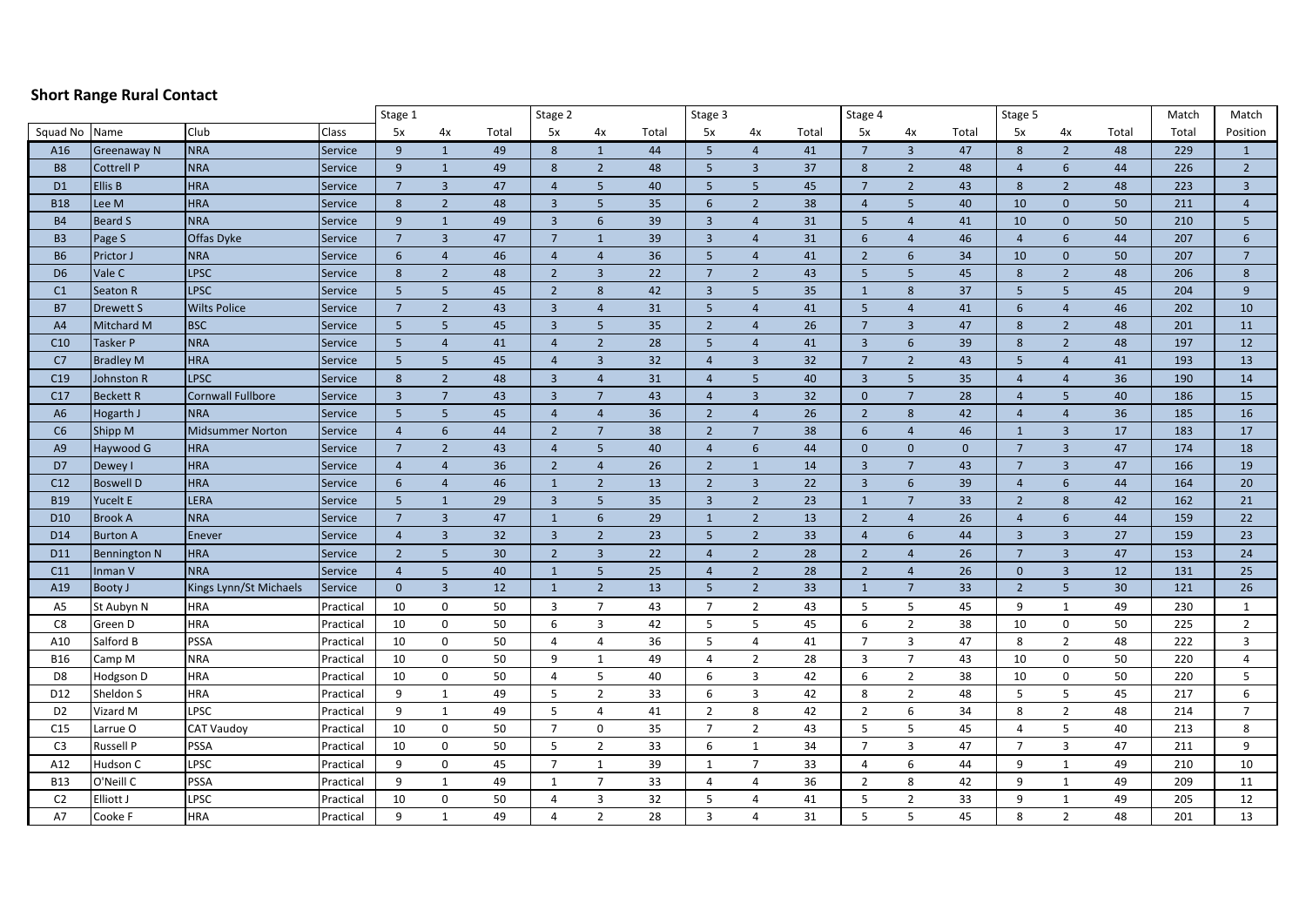## **Short Range Rural Contact**

|                 |                    |                          |                | Stage 1         |                 |                 | Stage 2                 |                 |       | Stage 3         |                |       | Stage 4                 |                 |              | Stage 5         |                |       | Match | Match           |
|-----------------|--------------------|--------------------------|----------------|-----------------|-----------------|-----------------|-------------------------|-----------------|-------|-----------------|----------------|-------|-------------------------|-----------------|--------------|-----------------|----------------|-------|-------|-----------------|
| Squad No        | Name               | Club                     | Class          | 5x              | 4x              | Total           | 5x                      | 4x              | Total | 5x              | 4х             | Total | 5x                      | 4х              | Total        | 5x              | 4х             | Total | Total | Position        |
| A16             | <b>Greenaway N</b> | <b>NRA</b>               | Service        | 9               | $\mathbf{1}$    | 49              | 8                       | $\mathbf{1}$    | 44    | $5\phantom{.}$  | $\overline{4}$ | 41    | $7\overline{ }$         | $\overline{3}$  | 47           | 8               | $\overline{2}$ | 48    | 229   | $\mathbf{1}$    |
| <b>B8</b>       | <b>Cottrell P</b>  | <b>NRA</b>               | Service        | 9               | $\mathbf{1}$    | 49              | 8                       | $\overline{2}$  | 48    | 5 <sup>5</sup>  | $\overline{3}$ | 37    | 8                       | $2^{\circ}$     | 48           | $\overline{4}$  | $6\phantom{1}$ | 44    | 226   | $\overline{2}$  |
| D <sub>1</sub>  | Ellis B            | <b>HRA</b>               | Service        | $7\overline{ }$ | $\overline{3}$  | 47              | $\overline{4}$          | 5               | 40    | 5               | 5              | 45    | $7\overline{ }$         | $\overline{2}$  | 43           | 8               | $\overline{2}$ | 48    | 223   | $\overline{3}$  |
| <b>B18</b>      | Lee M              | <b>HRA</b>               | Service        | $8\phantom{1}$  | $\overline{2}$  | 48              | $\overline{\mathbf{3}}$ | $5\phantom{.0}$ | 35    | 6               | $\overline{2}$ | 38    | $\overline{4}$          | 5               | 40           | 10              | $\mathbf{0}$   | 50    | 211   | $\overline{4}$  |
| <b>B4</b>       | <b>Beard S</b>     | <b>NRA</b>               | <b>Service</b> | 9               | $\mathbf{1}$    | 49              | $\overline{3}$          | 6               | 39    | $\overline{3}$  | $\overline{4}$ | 31    | $5\overline{)}$         | $\overline{4}$  | 41           | 10              | $\mathbf{0}$   | 50    | 210   | 5               |
| <b>B3</b>       | Page S             | Offas Dyke               | Service        | 7               | $\overline{3}$  | 47              | $\overline{7}$          | $\mathbf{1}$    | 39    | $\overline{3}$  | $\overline{4}$ | 31    | 6                       | $\overline{4}$  | 46           | $\overline{4}$  | 6              | 44    | 207   | 6               |
| <b>B6</b>       | Prictor J          | <b>NRA</b>               | Service        | 6               | $\overline{4}$  | 46              | $\overline{4}$          | $\overline{4}$  | 36    | 5               | $\overline{4}$ | 41    | $\overline{2}$          | 6               | 34           | 10              | $\mathbf{0}$   | 50    | 207   | $7\overline{ }$ |
| D <sub>6</sub>  | Vale C             | <b>LPSC</b>              | Service        | 8               | $\overline{2}$  | 48              | $\overline{2}$          | $\overline{3}$  | 22    | $7\overline{ }$ | $\overline{2}$ | 43    | 5                       | 5 <sup>5</sup>  | 45           | 8               | $\overline{2}$ | 48    | 206   | 8               |
| C <sub>1</sub>  | Seaton R           | LPSC                     | Service        | 5               | 5 <sup>5</sup>  | 45              | $\overline{2}$          | $\,8\,$         | 42    | $\overline{3}$  | 5              | 35    | $\mathbf{1}$            | 8               | 37           | 5               | $5\phantom{a}$ | 45    | 204   | $\overline{9}$  |
| <b>B7</b>       | <b>Drewett S</b>   | <b>Wilts Police</b>      | Service        | $7\overline{ }$ | $\overline{2}$  | 43              | $\overline{3}$          | $\overline{4}$  | 31    | $5\phantom{.}$  | $\overline{4}$ | 41    | $5\overline{)}$         | $\overline{4}$  | 41           | 6               | $\overline{4}$ | 46    | 202   | 10              |
| A4              | Mitchard M         | <b>BSC</b>               | Service        | $5\phantom{.0}$ | 5               | 45              | $\overline{\mathbf{3}}$ | $5\phantom{.0}$ | 35    | $\overline{2}$  | $\overline{4}$ | 26    | $7\overline{ }$         | $\overline{3}$  | 47           | 8               | $\overline{2}$ | 48    | 201   | 11              |
| C10             | <b>Tasker P</b>    | <b>NRA</b>               | Service        | $\overline{5}$  | $\overline{4}$  | 41              | $\overline{4}$          | $\overline{2}$  | 28    | $5\phantom{a}$  | $\overline{4}$ | 41    | $\overline{\mathbf{3}}$ | 6               | 39           | 8               | $\overline{2}$ | 48    | 197   | 12              |
| C7              | <b>Bradley M</b>   | <b>HRA</b>               | Service        | 5               | 5 <sup>5</sup>  | 45              | $\overline{4}$          | $\overline{3}$  | 32    | $\overline{4}$  | $\overline{3}$ | 32    | $7\overline{ }$         | $2^{\circ}$     | 43           | 5               | $\overline{4}$ | 41    | 193   | 13              |
| C19             | Johnston R         | <b>LPSC</b>              | Service        | 8               | $\overline{2}$  | 48              | $\overline{3}$          | $\overline{4}$  | 31    | $\overline{4}$  | 5              | 40    | $\overline{3}$          | 5               | 35           | $\overline{4}$  | $\overline{4}$ | 36    | 190   | 14              |
| C17             | <b>Beckett R</b>   | <b>Cornwall Fullbore</b> | Service        | $\overline{3}$  | $\overline{7}$  | 43              | $\overline{3}$          | $\overline{7}$  | 43    | $\overline{4}$  | $\overline{3}$ | 32    | $\mathbf{0}$            | $\overline{7}$  | 28           | $\overline{4}$  | 5              | 40    | 186   | 15              |
| A <sub>6</sub>  | Hogarth J          | <b>NRA</b>               | <b>Service</b> | 5               | 5               | 45              | $\overline{4}$          | $\overline{4}$  | 36    | $\overline{2}$  | $\overline{4}$ | 26    | $\overline{2}$          | 8               | 42           | $\overline{4}$  | $\overline{4}$ | 36    | 185   | 16              |
| C6              | Shipp M            | <b>Midsummer Norton</b>  | Service        | $\overline{4}$  | $6\overline{6}$ | 44              | $\overline{2}$          | $\overline{7}$  | 38    | $\overline{2}$  | $\overline{7}$ | 38    | $6\phantom{1}$          | $\overline{4}$  | 46           | $\mathbf{1}$    | $\overline{3}$ | 17    | 183   | 17              |
| A <sub>9</sub>  | Haywood G          | <b>HRA</b>               | <b>Service</b> | $7\overline{ }$ | $\overline{2}$  | 43              | $\overline{4}$          | $5\phantom{.0}$ | 40    | $\overline{4}$  | 6              | 44    | $\mathbf 0$             | $\mathbf{0}$    | $\mathbf{0}$ | $\overline{7}$  | $\overline{3}$ | 47    | 174   | 18              |
| D7              | Dewey I            | <b>HRA</b>               | Service        | $\overline{4}$  | $\overline{4}$  | 36              | $\overline{2}$          | $\overline{4}$  | 26    | $\overline{2}$  | $\mathbf{1}$   | 14    | $\overline{3}$          | $\overline{7}$  | 43           | $7\overline{ }$ | $\overline{3}$ | 47    | 166   | 19              |
| C12             | <b>Boswell D</b>   | <b>HRA</b>               | Service        | 6               | $\overline{4}$  | 46              | $\mathbf{1}$            | $\overline{2}$  | 13    | $\overline{2}$  | $\overline{3}$ | 22    | $\overline{3}$          | 6               | 39           | $\overline{4}$  | 6              | 44    | 164   | 20              |
| <b>B19</b>      | Yucelt E           | LERA                     | Service        | 5               | $\mathbf{1}$    | 29              | $\overline{3}$          | 5               | 35    | $\overline{3}$  | $\overline{2}$ | 23    | $\mathbf{1}$            | $7\overline{ }$ | 33           | $\overline{2}$  | 8              | 42    | 162   | 21              |
| D <sub>10</sub> | <b>Brook A</b>     | <b>NRA</b>               | <b>Service</b> | $7\overline{ }$ | $\overline{3}$  | 47              | $\mathbf{1}$            | 6               | 29    | $\mathbf{1}$    | $\overline{2}$ | 13    | $\overline{2}$          | $\overline{4}$  | 26           | $\overline{4}$  | 6              | 44    | 159   | 22              |
| D14             | <b>Burton A</b>    | Enever                   | <b>Service</b> | $\overline{4}$  | $\overline{3}$  | 32              | $\overline{3}$          | $\overline{2}$  | 23    | 5               | $\overline{2}$ | 33    | $\overline{4}$          | $6\overline{6}$ | 44           | $\overline{3}$  | $\overline{3}$ | 27    | 159   | 23              |
| D11             | Bennington N       | <b>HRA</b>               | Service        | $\overline{2}$  | 5               | 30 <sup>°</sup> | $\overline{2}$          | $\overline{3}$  | 22    | $\overline{4}$  | $\overline{2}$ | 28    | $\overline{2}$          | $\overline{4}$  | 26           | $\overline{7}$  | $\overline{3}$ | 47    | 153   | 24              |
| C11             | Inman V            | <b>NRA</b>               | Service        | $\overline{4}$  | 5 <sup>5</sup>  | 40              | $\mathbf{1}$            | $5\phantom{.0}$ | 25    | $\overline{4}$  | $\overline{2}$ | 28    | $\overline{2}$          | $\overline{4}$  | 26           | $\mathbf{0}$    | $\overline{3}$ | 12    | 131   | 25              |
| A19             | <b>Booty J</b>     | Kings Lynn/St Michaels   | Service        | $\mathbf{0}$    | $\overline{3}$  | 12              | $\mathbf{1}$            | $\overline{2}$  | 13    | $5\phantom{.}$  | $\overline{2}$ | 33    | $\mathbf{1}$            | $\overline{7}$  | 33           | $\overline{2}$  | $5\phantom{a}$ | 30    | 121   | 26              |
| A <sub>5</sub>  | St Aubyn N         | HRA                      | Practical      | 10              | 0               | 50              | $\overline{3}$          | $\overline{7}$  | 43    | $\overline{7}$  | $\overline{2}$ | 43    | 5                       | 5               | 45           | 9               | $\mathbf{1}$   | 49    | 230   | $\mathbf{1}$    |
| C8              | Green D            | HRA                      | Practical      | 10              | 0               | 50              | 6                       | $\mathbf{3}$    | 42    | 5               | 5              | 45    | 6                       | $\overline{2}$  | 38           | 10              | $\mathbf 0$    | 50    | 225   | $\overline{2}$  |
| A10             | Salford B          | PSSA                     | Practical      | 10              | $\mathbf 0$     | 50              | $\overline{4}$          | $\overline{4}$  | 36    | 5               | $\overline{4}$ | 41    | $\overline{7}$          | $\overline{3}$  | 47           | 8               | $\overline{2}$ | 48    | 222   | 3               |
| <b>B16</b>      | Camp M             | <b>NRA</b>               | Practical      | 10              | 0               | 50              | 9                       | $\mathbf{1}$    | 49    | $\overline{4}$  | $\overline{2}$ | 28    | $\overline{3}$          | $\overline{7}$  | 43           | 10              | $\mathbf 0$    | 50    | 220   | $\overline{4}$  |
| D <sub>8</sub>  | Hodgson D          | HRA                      | Practical      | 10              | 0               | 50              | $\overline{4}$          | 5               | 40    | 6               | 3              | 42    | 6                       | $\overline{2}$  | 38           | 10              | $\mathbf 0$    | 50    | 220   | 5               |
| D12             | Sheldon S          | HRA                      | Practical      | 9               | $\mathbf{1}$    | 49              | 5                       | $\overline{2}$  | 33    | 6               | 3              | 42    | 8                       | $\overline{2}$  | 48           | 5               | 5              | 45    | 217   | 6               |
| D <sub>2</sub>  | Vizard M           | LPSC                     | Practical      | 9               | $\mathbf{1}$    | 49              | 5                       | 4               | 41    | $\overline{2}$  | 8              | 42    | $\overline{2}$          | 6               | 34           | 8               | $\overline{2}$ | 48    | 214   | $\overline{7}$  |
| C15             | Larrue O           | <b>CAT Vaudoy</b>        | Practical      | 10              | 0               | 50              | $\overline{7}$          | $\mathsf 0$     | 35    | $\overline{7}$  | $\overline{2}$ | 43    | 5                       | 5               | 45           | 4               | 5              | 40    | 213   | 8               |
| C <sub>3</sub>  | <b>Russell P</b>   | <b>PSSA</b>              | Practical      | 10              | 0               | 50              | 5                       | $\overline{2}$  | 33    | 6               | $\mathbf{1}$   | 34    | $\overline{7}$          | $\overline{3}$  | 47           | $\overline{7}$  | $\mathbf{3}$   | 47    | 211   | 9               |
| A12             | Hudson C           | LPSC                     | Practical      | 9               | 0               | 45              | $\overline{7}$          | $\mathbf{1}$    | 39    | $\mathbf{1}$    | $\overline{7}$ | 33    | $\overline{4}$          | 6               | 44           | 9               | $\mathbf{1}$   | 49    | 210   | 10              |
| <b>B13</b>      | O'Neill C          | PSSA                     | Practical      | 9               | $\mathbf{1}$    | 49              | 1                       | $\overline{7}$  | 33    | $\overline{a}$  | 4              | 36    | $\overline{2}$          | 8               | 42           | 9               | $\mathbf{1}$   | 49    | 209   | 11              |
| C <sub>2</sub>  | Elliott J          | LPSC                     | Practical      | 10              | $\mathbf 0$     | 50              | $\overline{4}$          | $\overline{3}$  | 32    | 5               | 4              | 41    | 5                       | $\overline{2}$  | 33           | q               | $\mathbf{1}$   | 49    | 205   | 12              |
| A7              | Cooke F            | HRA                      | Practical      | 9               | $\mathbf{1}$    | 49              | $\overline{4}$          | $\overline{2}$  | 28    | $\overline{3}$  | $\overline{a}$ | 31    | 5                       | 5               | 45           | 8               | $\overline{2}$ | 48    | 201   | 13              |